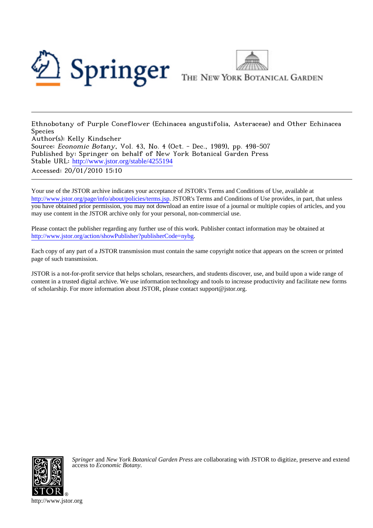



Ethnobotany of Purple Coneflower (Echinacea angustifolia, Asteraceae) and Other Echinacea Species

Author(s): Kelly Kindscher Source: Economic Botany, Vol. 43, No. 4 (Oct. - Dec., 1989), pp. 498-507 Published by: Springer on behalf of New York Botanical Garden Press Stable URL: [http://www.jstor.org/stable/4255194](http://www.jstor.org/stable/4255194?origin=JSTOR-pdf)

Accessed: 20/01/2010 15:10

Your use of the JSTOR archive indicates your acceptance of JSTOR's Terms and Conditions of Use, available at <http://www.jstor.org/page/info/about/policies/terms.jsp>. JSTOR's Terms and Conditions of Use provides, in part, that unless you have obtained prior permission, you may not download an entire issue of a journal or multiple copies of articles, and you may use content in the JSTOR archive only for your personal, non-commercial use.

Please contact the publisher regarding any further use of this work. Publisher contact information may be obtained at [http://www.jstor.org/action/showPublisher?publisherCode=nybg.](http://www.jstor.org/action/showPublisher?publisherCode=nybg)

Each copy of any part of a JSTOR transmission must contain the same copyright notice that appears on the screen or printed page of such transmission.

JSTOR is a not-for-profit service that helps scholars, researchers, and students discover, use, and build upon a wide range of content in a trusted digital archive. We use information technology and tools to increase productivity and facilitate new forms of scholarship. For more information about JSTOR, please contact support@jstor.org.



*Springer* and *New York Botanical Garden Press* are collaborating with JSTOR to digitize, preserve and extend access to *Economic Botany.*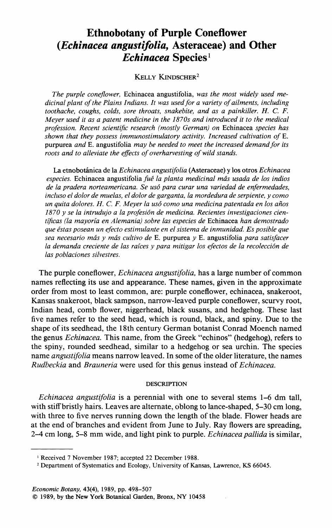# **Ethnobotany of Purple Coneflower** (Echinacea angustifolia, Asteraceae) and Other Echinacea Species<sup>1</sup>

### KELLY KINDSCHER<sup>2</sup>

The purple coneflower, Echinacea angustifolia, was the most widely used medicinal plant of the Plains Indians. It was used for a variety of ailments, including toothache, coughs, colds, sore throats, snakebite, and as a painkiller. H. C. F. Mever used it as a patent medicine in the 1870s and introduced it to the medical profession. Recent scientific research (mostly German) on Echinacea species has shown that they possess immunostimulatory activity. Increased cultivation of E. purpurea and E. angustifolia may be needed to meet the increased demand for its roots and to alleviate the effects of overharvesting of wild stands.

La etnobotánica de la Echinacea angustifolia (Asteraceae) y los otros Echinacea especies. Echinacea angustifolia fué la planta medicinal más usada de los indios de la pradera norteamericana. Se usó para curar una variedad de enfermedades, incluso el dolor de muelas, el dolor de garganta, la mordedura de serpiente, y como un quita dolores. H. C. F. Meyer la usó como una medicina patentada en los años 1870 y se la intrudujo a la profesión de medicina. Recientes investigaciones científicas (la mayoría en Alemania) sobre las especies de Echinacea han demostrado que éstas posean un efecto estimulante en el sistema de inmunidad. Es posible que sea necesario más y más cultivo de E. purpurea y E. angustifolia para satisfacer la demanda creciente de las raíces y para mitigar los efectos de la recolección de las poblaciones silvestres.

The purple coneflower, *Echinacea angustifolia*, has a large number of common names reflecting its use and appearance. These names, given in the approximate order from most to least common, are: purple coneflower, echinacea, snakeroot, Kansas snakeroot, black sampson, narrow-leaved purple coneflower, scurvy root, Indian head, comb flower, niggerhead, black susans, and hedgehog. These last five names refer to the seed head, which is round, black, and spiny. Due to the shape of its seedhead, the 18th century German botanist Conrad Moench named the genus *Echinacea*. This name, from the Greek "echinos" (hedgehog), refers to the spiny, rounded seedhead, similar to a hedgehog or sea urchin. The species name *angustifolia* means narrow leaved. In some of the older literature, the names Rudbeckia and Brauneria were used for this genus instead of Echinacea.

#### **DESCRIPTION**

*Echinacea angustifolia* is a perennial with one to several stems 1–6 dm tall, with stiff bristly hairs. Leaves are alternate, oblong to lance-shaped, 5–30 cm long, with three to five nerves running down the length of the blade. Flower heads are at the end of branches and evident from June to July. Ray flowers are spreading, 2-4 cm long, 5-8 mm wide, and light pink to purple. *Echinacea pallida* is similar,

<sup>&</sup>lt;sup>1</sup> Received 7 November 1987; accepted 22 December 1988.

<sup>&</sup>lt;sup>2</sup> Department of Systematics and Ecology, University of Kansas, Lawrence, KS 66045.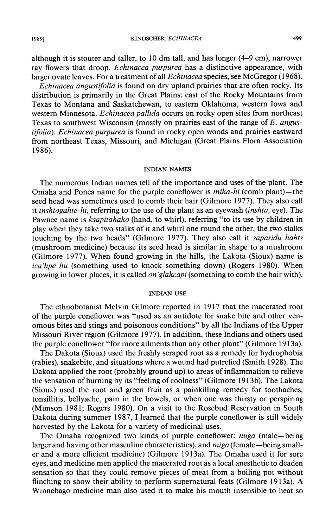KINDSCHER: ECHINACEA

although it is stouter and taller, to 10 dm tall, and has longer  $(4-9 \text{ cm})$ , narrower ray flowers that droop. *Echinacea purpurea* has a distinctive appearance, with larger ovate leaves. For a treatment of all *Echinacea* species, see McGregor (1968).

Echinacea angustifolia is found on dry upland prairies that are often rocky. Its distribution is primarily in the Great Plains: east of the Rocky Mountains from Texas to Montana and Saskatchewan, to eastern Oklahoma, western Iowa and western Minnesota, *Echinacea pallida* occurs on rocky open sites from northeast Texas to southwest Wisconsin (mostly on prairies east of the range of E. angustifolia). Echinacea purpurea is found in rocky open woods and prairies eastward from northeast Texas, Missouri, and Michigan (Great Plains Flora Association 1986).

#### **INDIAN NAMES**

The numerous Indian names tell of the importance and uses of the plant. The Omaha and Ponca name for the purple coneflower is *mika-hi* (comb plant)—the seed head was sometimes used to comb their hair (Gilmore 1977). They also call it inshtogahte-hi, referring to the use of the plant as an eyewash (inshta, eye). The Pawnee name is ksapitahako (hand, to whirl), referring "to its use by children in play when they take two stalks of it and whirl one round the other, the two stalks touching by the two heads" (Gilmore 1977). They also call it saparidu hahts (mushroom medicine) because its seed head is similar in shape to a mushroom (Gilmore 1977). When found growing in the hills, the Lakota (Sioux) name is ica'hpe hu (something used to knock something down) (Rogers 1980). When growing in lower places, it is called *on'glakcapi* (something to comb the hair with).

#### **INDIAN USE**

The ethnobotanist Melvin Gilmore reported in 1917 that the macerated root of the purple coneflower was "used as an antidote for snake bite and other venomous bites and stings and poisonous conditions" by all the Indians of the Upper Missouri River region (Gilmore 1977). In addition, these Indians and others used the purple coneflower "for more ailments than any other plant" (Gilmore 1913a).

The Dakota (Sioux) used the freshly scraped root as a remedy for hydrophobia (rabies), snakebite, and situations where a wound had putrefied (Smith 1928). The Dakota applied the root (probably ground up) to areas of inflammation to relieve the sensation of burning by its "feeling of coolness" (Gilmore 1913b). The Lakota (Sioux) used the root and green fruit as a painkilling remedy for toothaches, tonsillitis, bellyache, pain in the bowels, or when one was thirsty or perspiring (Munson 1981; Rogers 1980). On a visit to the Rosebud Reservation in South Dakota during summer 1987, I learned that the purple coneflower is still widely harvested by the Lakota for a variety of medicinal uses.

The Omaha recognized two kinds of purple coneflower: nuga (male-being larger and having other masculine characteristics), and *miga* (female – being smaller and a more efficient medicine) (Gilmore 1913a). The Omaha used it for sore eyes, and medicine men applied the macerated root as a local anesthetic to deaden sensation so that they could remove pieces of meat from a boiling pot without flinching to show their ability to perform supernatural feats (Gilmore 1913a). A Winnebago medicine man also used it to make his mouth insensible to heat so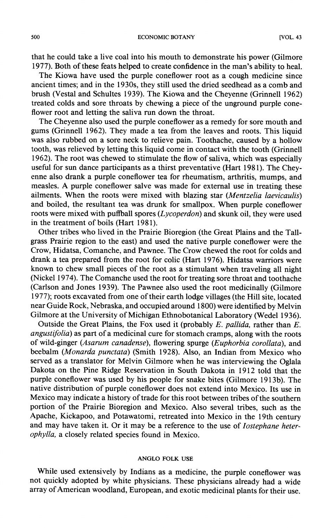**ECONOMIC BOTANY** 

that he could take a live coal into his mouth to demonstrate his power (Gilmore 1977). Both of these feats helped to create confidence in the man's ability to heal.

The Kiowa have used the purple coneflower root as a cough medicine since ancient times; and in the 1930s, they still used the dried seedhead as a comb and brush (Vestal and Schultes 1939). The Kiowa and the Chevenne (Grinnell 1962) treated colds and sore throats by chewing a piece of the unground purple coneflower root and letting the saliva run down the throat.

The Cheyenne also used the purple coneflower as a remedy for sore mouth and gums (Grinnell 1962). They made a tea from the leaves and roots. This liquid was also rubbed on a sore neck to relieve pain. Toothache, caused by a hollow tooth, was relieved by letting this liquid come in contact with the tooth (Grinnell 1962). The root was chewed to stimulate the flow of saliva, which was especially useful for sun dance participants as a thirst preventative (Hart 1981). The Cheyenne also drank a purple coneflower tea for rheumatism, arthritis, mumps, and measles. A purple coneflower salve was made for external use in treating these ailments. When the roots were mixed with blazing star (Mentzelia laevicaulis) and boiled, the resultant tea was drunk for smallpox. When purple coneflower roots were mixed with puffball spores (*Lycoperdon*) and skunk oil, they were used in the treatment of boils (Hart 1981).

Other tribes who lived in the Prairie Bioregion (the Great Plains and the Tallgrass Prairie region to the east) and used the native purple coneflower were the Crow, Hidatsa, Comanche, and Pawnee. The Crow chewed the root for colds and drank a tea prepared from the root for colic (Hart 1976). Hidatsa warriors were known to chew small pieces of the root as a stimulant when traveling all night (Nickel 1974). The Comanche used the root for treating sore throat and toothache (Carlson and Jones 1939). The Pawnee also used the root medicinally (Gilmore 1977); roots excavated from one of their earth lodge villages (the Hill site, located near Guide Rock, Nebraska, and occupied around 1800) were identified by Melvin Gilmore at the University of Michigan Ethnobotanical Laboratory (Wedel 1936).

Outside the Great Plains, the Fox used it (probably E. pallida, rather than E. angustifolia) as part of a medicinal cure for stomach cramps, along with the roots of wild-ginger (Asarum canadense), flowering spurge (Euphorbia corollata), and beebalm (Monarda punctata) (Smith 1928). Also, an Indian from Mexico who served as a translator for Melvin Gilmore when he was interviewing the Oglala Dakota on the Pine Ridge Reservation in South Dakota in 1912 told that the purple coneflower was used by his people for snake bites (Gilmore 1913b). The native distribution of purple coneflower does not extend into Mexico. Its use in Mexico may indicate a history of trade for this root between tribes of the southern portion of the Prairie Bioregion and Mexico. Also several tribes, such as the Apache, Kickapoo, and Potawatomi, retreated into Mexico in the 19th century and may have taken it. Or it may be a reference to the use of *Iostephane heter*ophylla, a closely related species found in Mexico.

#### ANGLO FOLK USE

While used extensively by Indians as a medicine, the purple coneflower was not quickly adopted by white physicians. These physicians already had a wide array of American woodland, European, and exotic medicinal plants for their use.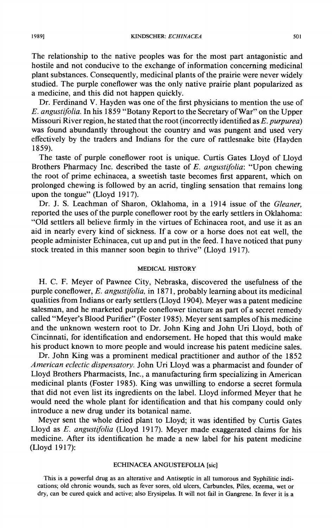The relationship to the native peoples was for the most part antagonistic and hostile and not conducive to the exchange of information concerning medicinal plant substances. Consequently, medicinal plants of the prairie were never widely studied. The purple coneflower was the only native prairie plant popularized as a medicine, and this did not happen quickly.

Dr. Ferdinand V. Hayden was one of the first physicians to mention the use of *E. angustifolia.* In his 1859 "Botany Report to the Secretary of War" on the Upper Missouri River region, he stated that the root (incorrectly identified as E. purpurea) was found abundantly throughout the country and was pungent and used very effectively by the traders and Indians for the cure of rattlesnake bite (Hayden 1859).

The taste of purple coneflower root is unique. Curtis Gates Lloyd of Lloyd Brothers Pharmacy Inc. described the taste of E. angustifolia: "Upon chewing the root of prime echinacea, a sweetish taste becomes first apparent, which on prolonged chewing is followed by an acrid, tingling sensation that remains long upon the tongue" (Lloyd 1917).

Dr. J. S. Leachman of Sharon, Oklahoma, in a 1914 issue of the Gleaner, reported the uses of the purple coneflower root by the early settlers in Oklahoma: "Old settlers all believe firmly in the virtues of Echinacea root, and use it as an aid in nearly every kind of sickness. If a cow or a horse does not eat well, the people administer Echinacea, cut up and put in the feed. I have noticed that puny stock treated in this manner soon begin to thrive" (Lloyd 1917).

#### **MEDICAL HISTORY**

H. C. F. Meyer of Pawnee City, Nebraska, discovered the usefulness of the purple coneflower, E. angustifolia, in 1871, probably learning about its medicinal qualities from Indians or early settlers (Lloyd 1904). Meyer was a patent medicine salesman, and he marketed purple coneflower tincture as part of a secret remedy called "Meyer's Blood Purifier" (Foster 1985). Meyer sent samples of his medicine and the unknown western root to Dr. John King and John Uri Lloyd, both of Cincinnati, for identification and endorsement. He hoped that this would make his product known to more people and would increase his patent medicine sales.

Dr. John King was a prominent medical practitioner and author of the 1852 American eclectic dispensatory. John Uri Lloyd was a pharmacist and founder of Lloyd Brothers Pharmacists, Inc., a manufacturing firm specializing in American medicinal plants (Foster 1985). King was unwilling to endorse a secret formula that did not even list its ingredients on the label. Lloyd informed Meyer that he would need the whole plant for identification and that his company could only introduce a new drug under its botanical name.

Meyer sent the whole dried plant to Lloyd; it was identified by Curtis Gates Lloyd as E. angustifolia (Lloyd 1917). Meyer made exaggerated claims for his medicine. After its identification he made a new label for his patent medicine (Lloyd 1917):

#### ECHINACEA ANGUSTEFOLIA [sic]

This is a powerful drug as an alterative and Antiseptic in all tumorous and Syphilitic indications; old chronic wounds, such as fever sores, old ulcers, Carbuncles, Piles, eczema, wet or dry, can be cured quick and active; also Erysipelas. It will not fail in Gangrene. In fever it is a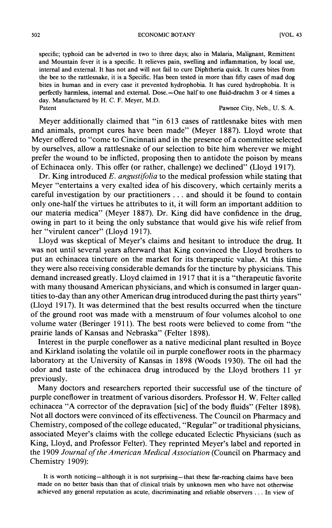**ECONOMIC BOTANY** 

specific; typhoid can be adverted in two to three days; also in Malaria, Malignant, Remittent and Mountain fever it is a specific. It relieves pain, swelling and inflammation, by local use, internal and external. It has not and will not fail to cure Diphtheria quick. It cures bites from the bee to the rattlesnake, it is a Specific. Has been tested in more than fifty cases of mad dog bites in human and in every case it prevented hydrophobia. It has cured hydrophobia. It is perfectly harmless, internal and external. Dose. - One half to one fluid-drachm 3 or 4 times a day. Manufactured by H. C. F. Meyer, M.D. Patent

Pawnee City, Neb., U.S.A.

Meyer additionally claimed that "in 613 cases of rattlesnake bites with men and animals, prompt cures have been made" (Meyer 1887). Lloyd wrote that Meyer offered to "come to Cincinnati and in the presence of a committee selected by ourselves, allow a rattlesnake of our selection to bite him wherever we might prefer the wound to be inflicted, proposing then to antidote the poison by means of Echinacea only. This offer (or rather, challenge) we declined" (Lloyd 1917).

Dr. King introduced  $E$ . angustifolia to the medical profession while stating that Meyer "entertains a very exalted idea of his discovery, which certainly merits a careful investigation by our practitioners ... and should it be found to contain only one-half the virtues he attributes to it, it will form an important addition to our materia medica" (Meyer 1887). Dr. King did have confidence in the drug, owing in part to it being the only substance that would give his wife relief from her "virulent cancer" (Lloyd 1917).

Lloyd was skeptical of Meyer's claims and hesitant to introduce the drug. It was not until several years afterward that King convinced the Lloyd brothers to put an echinacea tincture on the market for its therapeutic value. At this time they were also receiving considerable demands for the tincture by physicians. This demand increased greatly. Lloyd claimed in 1917 that it is a "therapeutic favorite with many thousand American physicians, and which is consumed in larger quantities to-day than any other American drug introduced during the past thirty years" (Lloyd 1917). It was determined that the best results occurred when the tincture of the ground root was made with a menstruum of four volumes alcohol to one volume water (Beringer 1911). The best roots were believed to come from "the prairie lands of Kansas and Nebraska" (Felter 1898).

Interest in the purple coneflower as a native medicinal plant resulted in Boyce and Kirkland isolating the volatile oil in purple coneflower roots in the pharmacy laboratory at the University of Kansas in 1898 (Woods 1930). The oil had the odor and taste of the echinacea drug introduced by the Lloyd brothers 11 yr previously.

Many doctors and researchers reported their successful use of the tincture of purple coneflower in treatment of various disorders. Professor H. W. Felter called echinacea "A corrector of the depravation [sic] of the body fluids" (Felter 1898). Not all doctors were convinced of its effectiveness. The Council on Pharmacy and Chemistry, composed of the college educated, "Regular" or traditional physicians. associated Meyer's claims with the college educated Eclectic Physicians (such as King, Lloyd, and Professor Felter). They reprinted Meyer's label and reported in the 1909 Journal of the American Medical Association (Council on Pharmacy and Chemistry 1909):

It is worth noticing—although it is not surprising—that these far-reaching claims have been made on no better basis than that of clinical trials by unknown men who have not otherwise achieved any general reputation as acute, discriminating and reliable observers . . . In view of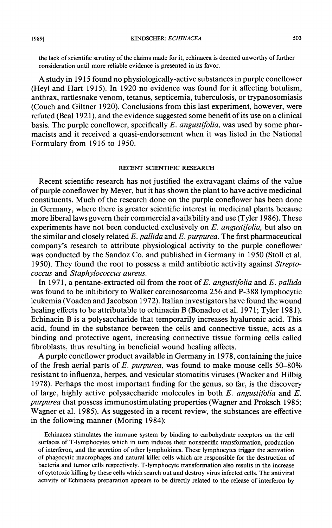the lack of scientific scrutiny of the claims made for it, echinacea is deemed unworthy of further consideration until more reliable evidence is presented in its favor.

A study in 1915 found no physiologically-active substances in purple coneflower (Heyl and Hart 1915). In 1920 no evidence was found for it affecting botulism, anthrax, rattlesnake venom, tetanus, septicemia, tuberculosis, or trypanosomiasis (Couch and Giltner 1920). Conclusions from this last experiment, however, were refuted (Beal 1921), and the evidence suggested some benefit of its use on a clinical basis. The purple coneflower, specifically  $E$ . angustifolia, was used by some pharmacists and it received a quasi-endorsement when it was listed in the National Formulary from 1916 to 1950.

#### RECENT SCIENTIFIC RESEARCH

Recent scientific research has not justified the extravagant claims of the value of purple coneflower by Meyer, but it has shown the plant to have active medicinal constituents. Much of the research done on the purple coneflower has been done in Germany, where there is greater scientific interest in medicinal plants because more liberal laws govern their commercial availability and use (Tyler 1986). These experiments have not been conducted exclusively on  $E$ . angustifolia, but also on the similar and closely related  $E$ . pallida and  $E$ . purpurea. The first pharmaceutical company's research to attribute physiological activity to the purple coneflower was conducted by the Sandoz Co. and published in Germany in 1950 (Stoll et al. 1950). They found the root to possess a mild antibiotic activity against Streptococcus and Staphylococcus aureus.

In 1971, a pentane-extracted oil from the root of E. angustifolia and E. pallida was found to be inhibitory to Walker carcinosarcoma 256 and P-388 lymphocytic leukemia (Voaden and Jacobson 1972). Italian investigators have found the wound healing effects to be attributable to echinacin B (Bonadeo et al. 1971; Tyler 1981). Echinacin B is a polysaccharide that temporarily increases hyaluronic acid. This acid, found in the substance between the cells and connective tissue, acts as a binding and protective agent, increasing connective tissue forming cells called fibroblasts, thus resulting in beneficial wound healing affects.

A purple coneflower product available in Germany in 1978, containing the juice of the fresh aerial parts of E. purpurea, was found to make mouse cells 50–80% resistant to influenza, herpes, and vesicular stomatitis viruses (Wacker and Hilbig 1978). Perhaps the most important finding for the genus, so far, is the discovery of large, highly active polysaccharide molecules in both  $E$ . angustifolia and  $E$ . *purpurea* that possess immunostimulating properties (Wagner and Proksch 1985; Wagner et al. 1985). As suggested in a recent review, the substances are effective in the following manner (Moring 1984):

Echinacea stimulates the immune system by binding to carbohydrate receptors on the cell surfaces of T-lymphocytes which in turn induces their nonspecific transformation, production of interferon, and the secretion of other lymphokines. These lymphocytes trigger the activation of phagocytic macrophages and natural killer cells which are responsible for the destruction of bacteria and tumor cells respectively. T-lymphocyte transformation also results in the increase of cytotoxic killing by these cells which search out and destroy virus infected cells. The antiviral activity of Echinacea preparation appears to be directly related to the release of interferon by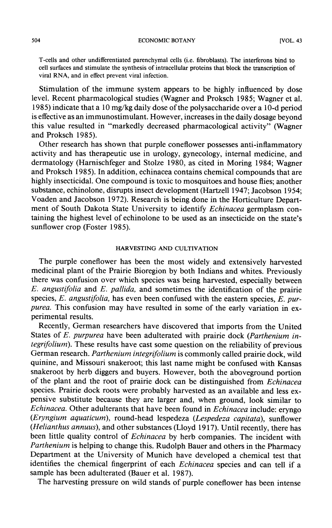**ECONOMIC BOTANY** 

T-cells and other undifferentiated parenchymal cells (i.e. fibroblasts). The interferons bind to cell surfaces and stimulate the synthesis of intracellular proteins that block the transcription of viral RNA, and in effect prevent viral infection.

Stimulation of the immune system appears to be highly influenced by dose level. Recent pharmacological studies (Wagner and Proksch 1985; Wagner et al. 1985) indicate that a 10 mg/kg daily dose of the polysaccharide over a 10-d period is effective as an immunostimulant. However, increases in the daily dosage beyond this value resulted in "markedly decreased pharmacological activity" (Wagner and Proksch 1985).

Other research has shown that purple coneflower possesses anti-inflammatory activity and has therapeutic use in urology, gynecology, internal medicine, and dermatology (Harnischfeger and Stolze 1980, as cited in Moring 1984; Wagner and Proksch 1985). In addition, echinacea contains chemical compounds that are highly insecticidal. One compound is toxic to mosquitoes and house flies; another substance, echinolone, disrupts insect development (Hartzell 1947; Jacobson 1954; Voaden and Jacobson 1972). Research is being done in the Horticulture Department of South Dakota State University to identify *Echinacea* germplasm containing the highest level of echinolone to be used as an insecticide on the state's sunflower crop (Foster 1985).

#### HARVESTING AND CULTIVATION

The purple coneflower has been the most widely and extensively harvested medicinal plant of the Prairie Bioregion by both Indians and whites. Previously there was confusion over which species was being harvested, especially between E. angustifolia and E. pallida, and sometimes the identification of the prairie species, E. angustifolia, has even been confused with the eastern species, E. pur*purea*. This confusion may have resulted in some of the early variation in experimental results.

Recently, German researchers have discovered that imports from the United States of *E. purpurea* have been adulterated with prairie dock (*Parthenium in*tegrifolium). These results have cast some question on the reliability of previous German research. *Parthenium integrifolium* is commonly called prairie dock, wild quinine, and Missouri snakeroot; this last name might be confused with Kansas snakeroot by herb diggers and buyers. However, both the aboveground portion of the plant and the root of prairie dock can be distinguished from *Echinacea* species. Prairie dock roots were probably harvested as an available and less expensive substitute because they are larger and, when ground, look similar to *Echinacea*. Other adulterants that have been found in *Echinacea* include: eryngo (*Eryngium aquaticum*), round-head lespedeza (*Lespedeza capitata*), sunflower (Helianthus annuus), and other substances (Lloyd 1917). Until recently, there has been little quality control of *Echinacea* by herb companies. The incident with *Parthenium* is helping to change this. Rudolph Bauer and others in the Pharmacy Department at the University of Munich have developed a chemical test that identifies the chemical fingerprint of each Echinacea species and can tell if a sample has been adulterated (Bauer et al. 1987).

The harvesting pressure on wild stands of purple coneflower has been intense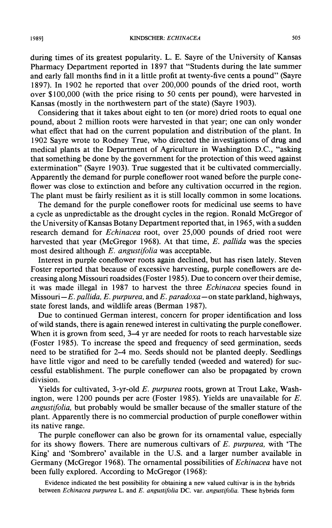during times of its greatest popularity. L. E. Sayre of the University of Kansas Pharmacy Department reported in 1897 that "Students during the late summer and early fall months find in it a little profit at twenty-five cents a pound" (Sayre 1897). In 1902 he reported that over 200,000 pounds of the dried root, worth over \$100,000 (with the price rising to 50 cents per pound), were harvested in Kansas (mostly in the northwestern part of the state) (Sayre 1903).

Considering that it takes about eight to ten (or more) dried roots to equal one pound, about 2 million roots were harvested in that year; one can only wonder what effect that had on the current population and distribution of the plant. In 1902 Sayre wrote to Rodney True, who directed the investigations of drug and medical plants at the Department of Agriculture in Washington D.C., "asking that something be done by the government for the protection of this weed against extermination" (Sayre 1903). True suggested that it be cultivated commercially. Apparently the demand for purple coneflower root waned before the purple coneflower was close to extinction and before any cultivation occurred in the region. The plant must be fairly resilient as it is still locally common in some locations.

The demand for the purple coneflower roots for medicinal use seems to have a cycle as unpredictable as the drought cycles in the region. Ronald McGregor of the University of Kansas Botany Department reported that, in 1965, with a sudden research demand for *Echinacea* root, over 25,000 pounds of dried root were harvested that year (McGregor 1968). At that time, E. pallida was the species most desired although E. angustifolia was acceptable.

Interest in purple coneflower roots again declined, but has risen lately. Steven Foster reported that because of excessive harvesting, purple coneflowers are decreasing along Missouri roadsides (Foster 1985). Due to concern over their demise, it was made illegal in 1987 to harvest the three *Echinacea* species found in Missouri-E. pallida, E. purpurea, and E. paradoxa-on state parkland, highways, state forest lands, and wildlife areas (Berman 1987).

Due to continued German interest, concern for proper identification and loss of wild stands, there is again renewed interest in cultivating the purple coneflower. When it is grown from seed, 3–4 yr are needed for roots to reach harvestable size (Foster 1985). To increase the speed and frequency of seed germination, seeds need to be stratified for 2-4 mo. Seeds should not be planted deeply. Seedlings have little vigor and need to be carefully tended (weeded and watered) for successful establishment. The purple coneflower can also be propagated by crown division.

Yields for cultivated, 3-yr-old E. purpurea roots, grown at Trout Lake, Washington, were 1200 pounds per acre (Foster 1985). Yields are unavailable for  $E$ . *angustifolia*, but probably would be smaller because of the smaller stature of the plant. Apparently there is no commercial production of purple coneflower within its native range.

The purple coneflower can also be grown for its ornamental value, especially for its showy flowers. There are numerous cultivars of  $E$ . purpurea, with 'The King' and 'Sombrero' available in the U.S. and a larger number available in Germany (McGregor 1968). The ornamental possibilities of *Echinacea* have not been fully explored. According to McGregor (1968):

Evidence indicated the best possibility for obtaining a new valued cultivar is in the hybrids between Echinacea purpurea L. and E. angustifolia DC. var. angustifolia. These hybrids form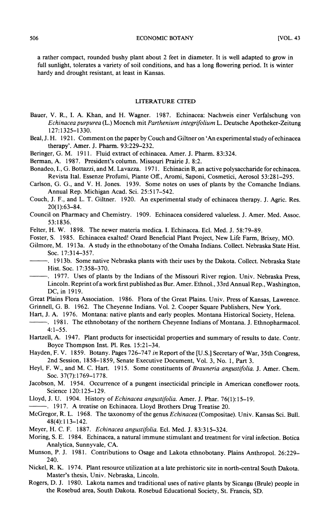a rather compact, rounded bushy plant about 2 feet in diameter. It is well adapted to grow in full sunlight, tolerates a variety of soil conditions, and has a long flowering period. It is winter hardy and drought resistant, at least in Kansas.

#### LITERATURE CITED

- Bauer, V. R., I. A. Khan, and H. Wagner. 1987. Echinacea: Nachweis einer Verfalschung von Echinacea purpurea (L.) Moench mit Parthenium integrifolium L. Deutsche Apotheker-Zeitung 127:1325-1330.
- Beal, J. H. 1921. Comment on the paper by Couch and Giltner on 'An experimental study of echinacea therapy'. Amer. J. Pharm. 93:229-232.
- Beringer, G. M. 1911. Fluid extract of echinacea. Amer. J. Pharm. 83:324.
- Berman, A. 1987. President's column. Missouri Prairie J. 8:2.
- Bonadeo, I., G. Bottazzi, and M. Lavazza. 1971. Echinacin B, an active polysaccharide for echinacea. Revista Ital. Essenze Profumi, Piante Off., Aromi, Saponi, Cosmetici, Aerosol 53:281-295.
- Carlson, G. G., and V. H. Jones. 1939. Some notes on uses of plants by the Comanche Indians. Annual Rep. Michigan Acad. Sci. 25:517-542.
- Couch, J. F., and L. T. Giltner. 1920. An experimental study of echinacea therapy. J. Agric. Res.  $20(1):63 - 84.$
- Council on Pharmacy and Chemistry. 1909. Echinacea considered valueless. J. Amer. Med. Assoc. 53:1836.
- Felter, H. W. 1898. The newer materia medica. I. Echinacea. Ecl. Med. J. 58:79-89.
- Foster, S. 1985. Echinacea exalted! Ozard Beneficial Plant Project, New Life Farm, Brixey, MO.
- Gilmore, M. 1913a. A study in the ethnobotany of the Omaha Indians. Collect. Nebraska State Hist. Soc. 17:314-357.
- -. 1913b. Some native Nebraska plants with their uses by the Dakota. Collect. Nebraska State Hist. Soc. 17:358-370.
- -. 1977. Uses of plants by the Indians of the Missouri River region. Univ. Nebraska Press, Lincoln. Reprint of a work first published as Bur. Amer. Ethnol., 33rd Annual Rep., Washington, DC, in 1919.
- Great Plains Flora Association. 1986. Flora of the Great Plains. Univ. Press of Kansas, Lawrence. Grinnell, G. B. 1962. The Cheyenne Indians. Vol. 2. Cooper Square Publishers, New York.
- Hart, J. A. 1976. Montana: native plants and early peoples. Montana Historical Society, Helena.
- -. 1981. The ethnobotany of the northern Cheyenne Indians of Montana. J. Ethnopharmacol.  $4:1 - 55.$
- Hartzell, A. 1947. Plant products for insecticidal properties and summary of results to date. Contr. Boyce Thompson Inst. Pl. Res. 15:21-34.
- Hayden, F. V. 1859. Botany. Pages 726-747 in Report of the [U.S.] Secretary of War, 35th Congress, 2nd Session, 1858-1859, Senate Executive Document, Vol. 3, No. 1, Part 3.
- Heyl, F. W., and M. C. Hart. 1915. Some constituents of Brauneria angustifolia. J. Amer. Chem. Soc. 37(7):1769-1778.
- Jacobson, M. 1954. Occurrence of a pungent insecticidal principle in American coneflower roots. Science 120:125-129.
- Lloyd, J. U. 1904. History of *Echinacea angustifolia*. Amer. J. Phar. 76(1):15-19.
- -. 1917. A treatise on Echinacea. Lloyd Brothers Drug Treatise 20.
- McGregor, R. L. 1968. The taxonomy of the genus Echinacea (Compositae). Univ. Kansas Sci. Bull.  $48(4):113-142.$
- Meyer, H. C. F. 1887. Echinacea angustifolia. Ecl. Med. J. 83:315-324.
- Moring, S. E. 1984. Echinacea, a natural immune stimulant and treatment for viral infection. Botica Analytica, Sunnyvale, CA.
- Munson, P. J. 1981. Contributions to Osage and Lakota ethnobotany. Plains Anthropol. 26:229– 240.
- Nickel, R. K. 1974. Plant resource utilization at a late prehistoric site in north-central South Dakota. Master's thesis, Univ. Nebraska, Lincoln.
- Rogers, D. J. 1980. Lakota names and traditional uses of native plants by Sicangu (Brule) people in the Rosebud area, South Dakota. Rosebud Educational Society, St. Francis, SD.